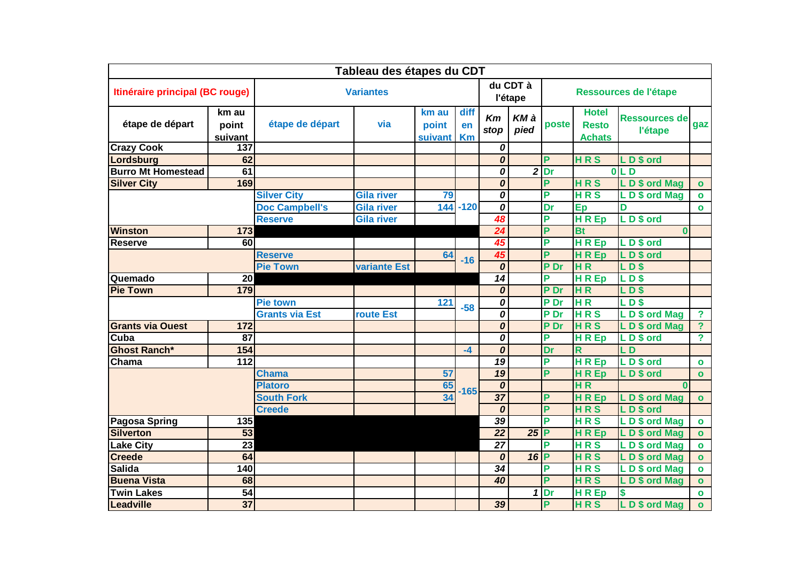| Tableau des étapes du CDT       |                           |                       |                     |                           |                         |                                      |              |                       |                                               |                                 |                         |
|---------------------------------|---------------------------|-----------------------|---------------------|---------------------------|-------------------------|--------------------------------------|--------------|-----------------------|-----------------------------------------------|---------------------------------|-------------------------|
| Itinéraire principal (BC rouge) |                           | <b>Variantes</b>      |                     |                           |                         | du CDT à<br>l'étape                  |              | Ressources de l'étape |                                               |                                 |                         |
| étape de départ                 | km au<br>point<br>suivant | étape de départ       | via                 | km au<br>point<br>suivant | diff<br>en<br><b>Km</b> | Km<br>stop                           | KM à<br>pied | poste                 | <b>Hotel</b><br><b>Resto</b><br><b>Achats</b> | <b>Ressources de</b><br>l'étape | gaz                     |
| <b>Crazy Cook</b>               | 137                       |                       |                     |                           |                         | 0                                    |              |                       |                                               |                                 |                         |
| Lordsburg                       | 62                        |                       |                     |                           |                         | $\overline{\boldsymbol{\mathit{o}}}$ |              | P                     | <b>HRS</b>                                    | LD\$ ord                        |                         |
| <b>Burro Mt Homestead</b>       | 61                        |                       |                     |                           |                         | 0                                    |              | $2$ Dr                |                                               | 0 <sub>L</sub>                  |                         |
| <b>Silver City</b>              | 169                       |                       |                     |                           |                         | 0                                    |              | P                     | <b>HRS</b>                                    | LD\$ ord Mag                    | $\mathbf{o}$            |
|                                 |                           | <b>Silver City</b>    | <b>Gila river</b>   | 79                        |                         | 0                                    |              | P                     | <b>HRS</b>                                    | LD\$ ord Mag                    | $\bullet$               |
|                                 |                           | <b>Doc Campbell's</b> | <b>Gila river</b>   |                           | $144 - 120$             | 0                                    |              | Dr                    | Ep                                            | D                               | $\mathbf{o}$            |
|                                 |                           | <b>Reserve</b>        | <b>Gila river</b>   |                           |                         | 48                                   |              | P                     | <b>HREP</b>                                   | LD\$ ord                        |                         |
| <b>Winston</b>                  | 173                       |                       |                     |                           |                         | 24                                   |              | P                     | <b>Bt</b>                                     | $\bf{0}$                        |                         |
| Reserve                         | 60                        |                       |                     |                           |                         | 45                                   |              | P                     | H R E <sub>p</sub>                            | LD\$ ord                        |                         |
|                                 |                           | <b>Reserve</b>        |                     | 64                        | $-16$                   | 45                                   |              | P                     | <b>HREp</b>                                   | LD\$ ord                        |                         |
|                                 |                           | <b>Pie Town</b>       | <b>variante Est</b> |                           |                         | 0                                    |              | P Dr                  | <b>HR</b>                                     | LDS                             |                         |
| Quemado                         | 20                        |                       |                     |                           |                         | $\overline{14}$                      |              | P                     | H R Ep                                        | <b>LDS</b>                      |                         |
| <b>Pie Town</b>                 | 179                       |                       |                     |                           |                         | 0                                    |              | P Dr                  | <b>HR</b>                                     | LD <sub>S</sub>                 |                         |
|                                 |                           | <b>Pie town</b>       |                     | 121                       | $-58$                   | 0                                    |              | P Dr                  | H R                                           | <b>LD\$</b>                     |                         |
|                                 |                           | <b>Grants via Est</b> | route Est           |                           |                         | $\overline{o}$                       |              | P Dr                  | <b>HRS</b>                                    | LD\$ ord Mag                    | $\overline{\mathbf{?}}$ |
| <b>Grants via Ouest</b>         | 172                       |                       |                     |                           |                         | $\overline{\boldsymbol{\mathit{o}}}$ |              | P Dr                  | <b>HRS</b>                                    | LD\$ ord Mag                    | $\overline{?}$          |
| Cuba                            | 87                        |                       |                     |                           |                         | 0                                    |              | P                     | <b>HREP</b>                                   | LD\$ ord                        | $\overline{?}$          |
| <b>Ghost Ranch*</b>             | 154                       |                       |                     |                           | $-4$                    | 0                                    |              | Dr                    | R                                             | LD                              |                         |
| Chama                           | 112                       |                       |                     |                           |                         | 19                                   |              | P                     | HREp                                          | LD\$ ord                        | $\bullet$               |
|                                 |                           | <b>Chama</b>          |                     | 57                        |                         | $\overline{19}$                      |              | P                     | <b>HREp</b>                                   | LD\$ ord                        | $\bullet$               |
|                                 |                           | <b>Platoro</b>        |                     | 65                        | $-165$                  | 0                                    |              |                       | H R                                           | $\Omega$                        |                         |
|                                 |                           | <b>South Fork</b>     |                     | 34                        |                         | $\overline{37}$                      |              | P                     | <b>HREP</b>                                   | LD\$ ord Mag                    | $\mathbf{o}$            |
|                                 |                           | <b>Creede</b>         |                     |                           |                         | 0                                    |              | P                     | <b>HRS</b>                                    | LD \$ ord                       |                         |
| <b>Pagosa Spring</b>            | 135                       |                       |                     |                           |                         | 39                                   |              | P                     | <b>HRS</b>                                    | LD\$ ord Mag                    | $\bullet$               |
| <b>Silverton</b>                | $\overline{53}$           |                       |                     |                           |                         | $\overline{22}$                      | $25$ P       |                       | <b>HREP</b>                                   | LD\$ ord Mag                    | $\mathbf{o}$            |
| <b>Lake City</b>                | $\overline{23}$           |                       |                     |                           |                         | $\overline{27}$                      |              | D                     | <b>HRS</b>                                    | LD\$ ord Mag                    | $\bullet$               |
| <b>Creede</b>                   | 64                        |                       |                     |                           |                         | $\boldsymbol{o}$                     | $16$ P       |                       | <b>HRS</b>                                    | LD\$ ord Mag                    | $\mathbf{o}$            |
| <b>Salida</b>                   | 140                       |                       |                     |                           |                         | 34                                   |              | P                     | <b>HRS</b>                                    | LD\$ ord Mag                    | $\bullet$               |
| <b>Buena Vista</b>              | 68                        |                       |                     |                           |                         | 40                                   |              | P                     | <b>HRS</b>                                    | LD\$ ord Mag                    | $\bullet$               |
| <b>Twin Lakes</b>               | $\overline{54}$           |                       |                     |                           |                         |                                      | 1            | Dr                    | <b>HREP</b>                                   |                                 | $\mathbf{o}$            |
| Leadville                       | $\overline{37}$           |                       |                     |                           |                         | 39                                   |              | P                     | <b>HRS</b>                                    | LD\$ ord Mag                    | $\bullet$               |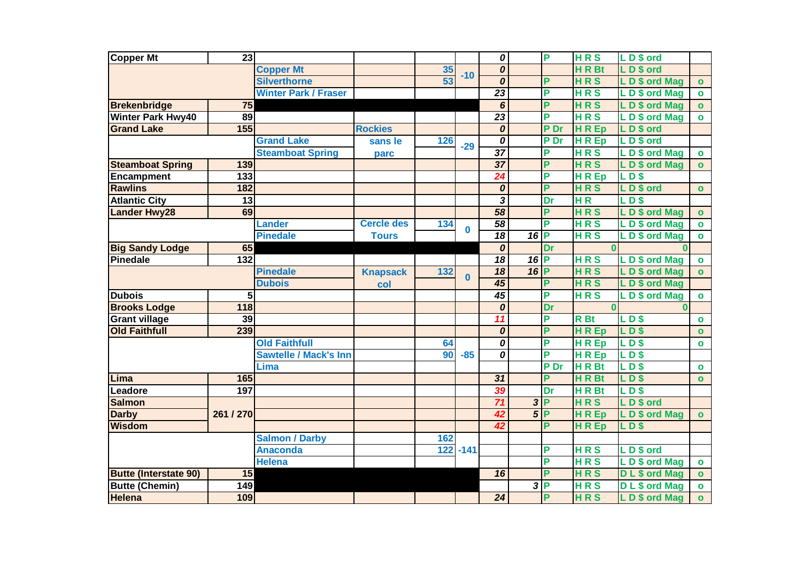| <b>Copper Mt</b>             | 23               |                              |                   |     |             | $\overline{\boldsymbol{\theta}}$ |        | P    | <b>HRS</b>       | LD\$ ord             |              |
|------------------------------|------------------|------------------------------|-------------------|-----|-------------|----------------------------------|--------|------|------------------|----------------------|--------------|
|                              |                  | <b>Copper Mt</b>             |                   | 35  | $-10$       | 0                                |        |      | <b>HRBt</b>      | LD\$ ord             |              |
|                              |                  | <b>Silverthorne</b>          |                   | 53  |             | $\overline{\boldsymbol{\theta}}$ |        | P    | <b>HRS</b>       | LD\$ ord Mag         | $\bullet$    |
|                              |                  | <b>Winter Park / Fraser</b>  |                   |     |             | $\overline{23}$                  |        | P    | <b>HRS</b>       | LD\$ ord Mag         | $\bullet$    |
| <b>Brekenbridge</b>          | 75               |                              |                   |     |             | 6                                |        | P    | <b>HRS</b>       | LD\$ ord Mag         | $\mathbf{o}$ |
| <b>Winter Park Hwy40</b>     | 89               |                              |                   |     |             | $\overline{23}$                  |        | P    | <b>HRS</b>       | LD\$ ord Mag         | $\mathbf{o}$ |
| <b>Grand Lake</b>            | 155              |                              | <b>Rockies</b>    |     |             | 0                                |        | P Dr | <b>HREp</b>      | LD\$ ord             |              |
|                              |                  | <b>Grand Lake</b>            | sans le           | 126 | $-29$       | 0                                |        | P Dr | <b>HREp</b>      | LD\$ ord             |              |
|                              |                  | <b>Steamboat Spring</b>      | parc              |     |             | $\overline{37}$                  |        | P    | <b>HRS</b>       | LD\$ ord Mag         | $\bullet$    |
| <b>Steamboat Spring</b>      | 139              |                              |                   |     |             | $\overline{37}$                  |        | P    | <b>HRS</b>       | LD\$ ord Mag         | $\mathbf{o}$ |
| Encampment                   | $\overline{133}$ |                              |                   |     |             | $\overline{24}$                  |        | P    | <b>HREp</b>      | LD\$                 |              |
| <b>Rawlins</b>               | 182              |                              |                   |     |             | $\overline{o}$                   |        | P    | <b>HRS</b>       | LD\$ ord             | $\bullet$    |
| <b>Atlantic City</b>         | $\overline{13}$  |                              |                   |     |             | $\overline{\mathbf{3}}$          |        | Dr   | H <sub>R</sub>   | LD\$                 |              |
| <b>Lander Hwy28</b>          | 69               |                              |                   |     |             | 58                               |        | P    | <b>HRS</b>       | LD\$ ord Mag         | $\bullet$    |
|                              |                  | <b>Lander</b>                | <b>Cercle des</b> | 134 | $\bf{0}$    | $\overline{58}$                  |        | P    | <b>HRS</b>       | LD\$ ord Mag         | $\bullet$    |
|                              |                  | <b>Pinedale</b>              | <b>Tours</b>      |     |             | $\overline{18}$                  | $16$ P |      | <b>HRS</b>       | LD\$ ord Mag         | $\bullet$    |
| <b>Big Sandy Lodge</b>       | 65               |                              |                   |     |             | 0                                |        | Dr   | $\Omega$         | n                    |              |
| <b>Pinedale</b>              | $\overline{132}$ |                              |                   |     |             | $\overline{18}$                  | $16$ P |      | <b>HRS</b>       | LD\$ ord Mag         | $\bullet$    |
|                              |                  | <b>Pinedale</b>              | <b>Knapsack</b>   | 132 | $\bf{0}$    | $\overline{18}$                  | $16$ P |      | <b>HRS</b>       | LD\$ ord Mag         | $\bullet$    |
|                              |                  | <b>Dubois</b>                | col               |     |             | $\overline{45}$                  |        | P    | <b>HRS</b>       | LD\$ ord Mag         |              |
| <b>Dubois</b>                | 5                |                              |                   |     |             | $\overline{45}$                  |        | P    | <b>HRS</b>       | LD\$ ord Mag         | $\bullet$    |
| <b>Brooks Lodge</b>          | 118              |                              |                   |     |             | 0                                |        | Dr   |                  | $\mathbf{0}$         |              |
| <b>Grant village</b>         | 39               |                              |                   |     |             | 11                               |        | P    | <b>R</b> Bt      | <b>LD\$</b>          | $\bullet$    |
| <b>Old Faithfull</b>         | 239              |                              |                   |     |             | $\boldsymbol{o}$                 |        | P    | <b>HREp</b>      | <b>LD\$</b>          | $\bullet$    |
|                              |                  | <b>Old Faithfull</b>         |                   | 64  |             | $\overline{o}$                   |        | P    | <b>HREp</b>      | LD                   | $\bullet$    |
|                              |                  | <b>Sawtelle / Mack's Inn</b> |                   | 90  | $-85$       | $\overline{o}$                   |        | P    | <b>HREp</b>      | <b>LD\$</b>          |              |
|                              |                  | Lima                         |                   |     |             |                                  |        | P Dr | HR <sub>Bt</sub> | LDS                  | $\bullet$    |
| Lima                         | 165              |                              |                   |     |             | $\overline{31}$                  |        | P    | HR Bt            | $LD$ \$              | $\bullet$    |
| Leadore                      | 197              |                              |                   |     |             | 39                               |        | Dr   | HR Bt            | <b>LD\$</b>          |              |
| <b>Salmon</b>                |                  |                              |                   |     |             | 71                               |        | 3P   | <b>HRS</b>       | LD\$ ord             |              |
| <b>Darby</b>                 | 261 / 270        |                              |                   |     |             | 42                               | $5$ P  |      | <b>HREp</b>      | LD\$ ord Mag         | $\mathbf{o}$ |
| <b>Wisdom</b>                |                  |                              |                   |     |             | 42                               |        | P    | <b>HREp</b>      | $LD$ \$              |              |
|                              |                  | <b>Salmon / Darby</b>        |                   | 162 |             |                                  |        |      |                  |                      |              |
|                              |                  | <b>Anaconda</b>              |                   |     | $122 - 141$ |                                  |        | P    | <b>HRS</b>       | LD\$ ord             |              |
|                              |                  | <b>Helena</b>                |                   |     |             |                                  |        | P    | <b>HRS</b>       | LD\$ ord Mag         | $\bullet$    |
| <b>Butte (Interstate 90)</b> | 15               |                              |                   |     |             | $\overline{16}$                  |        | P    | <b>HRS</b>       | DL\$ ord Mag         | $\mathbf{o}$ |
| <b>Butte (Chemin)</b>        | 149              |                              |                   |     |             |                                  |        | 3 P  | <b>HRS</b>       | <b>DL</b> \$ ord Mag | $\bullet$    |
| <b>Helena</b>                | 109              |                              |                   |     |             | 24                               |        | P    | <b>HRS</b>       | LD\$ ord Mag         | $\mathbf{o}$ |